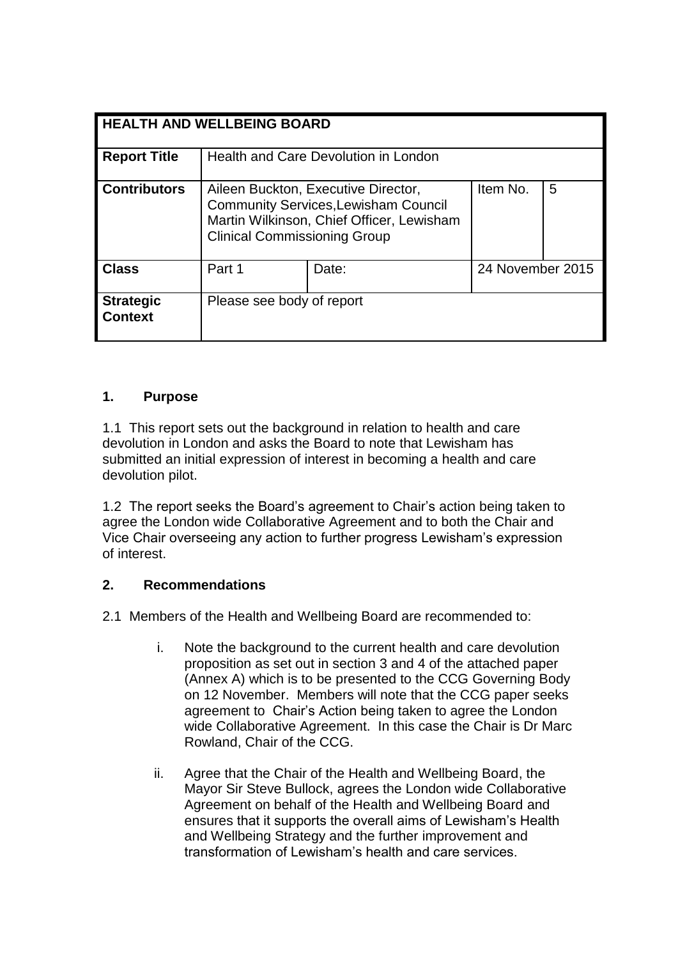| <b>HEALTH AND WELLBEING BOARD</b> |                                                                                                                                                                        |       |                  |   |
|-----------------------------------|------------------------------------------------------------------------------------------------------------------------------------------------------------------------|-------|------------------|---|
| <b>Report Title</b>               | Health and Care Devolution in London                                                                                                                                   |       |                  |   |
| <b>Contributors</b>               | Aileen Buckton, Executive Director,<br><b>Community Services, Lewisham Council</b><br>Martin Wilkinson, Chief Officer, Lewisham<br><b>Clinical Commissioning Group</b> |       | Item No.         | 5 |
| <b>Class</b>                      | Part 1                                                                                                                                                                 | Date: | 24 November 2015 |   |
| <b>Strategic</b><br>Context       | Please see body of report                                                                                                                                              |       |                  |   |

### **1. Purpose**

1.1 This report sets out the background in relation to health and care devolution in London and asks the Board to note that Lewisham has submitted an initial expression of interest in becoming a health and care devolution pilot.

1.2 The report seeks the Board's agreement to Chair's action being taken to agree the London wide Collaborative Agreement and to both the Chair and Vice Chair overseeing any action to further progress Lewisham's expression of interest.

# **2. Recommendations**

2.1 Members of the Health and Wellbeing Board are recommended to:

- i. Note the background to the current health and care devolution proposition as set out in section 3 and 4 of the attached paper (Annex A) which is to be presented to the CCG Governing Body on 12 November. Members will note that the CCG paper seeks agreement to Chair's Action being taken to agree the London wide Collaborative Agreement. In this case the Chair is Dr Marc Rowland, Chair of the CCG.
- ii. Agree that the Chair of the Health and Wellbeing Board, the Mayor Sir Steve Bullock, agrees the London wide Collaborative Agreement on behalf of the Health and Wellbeing Board and ensures that it supports the overall aims of Lewisham's Health and Wellbeing Strategy and the further improvement and transformation of Lewisham's health and care services.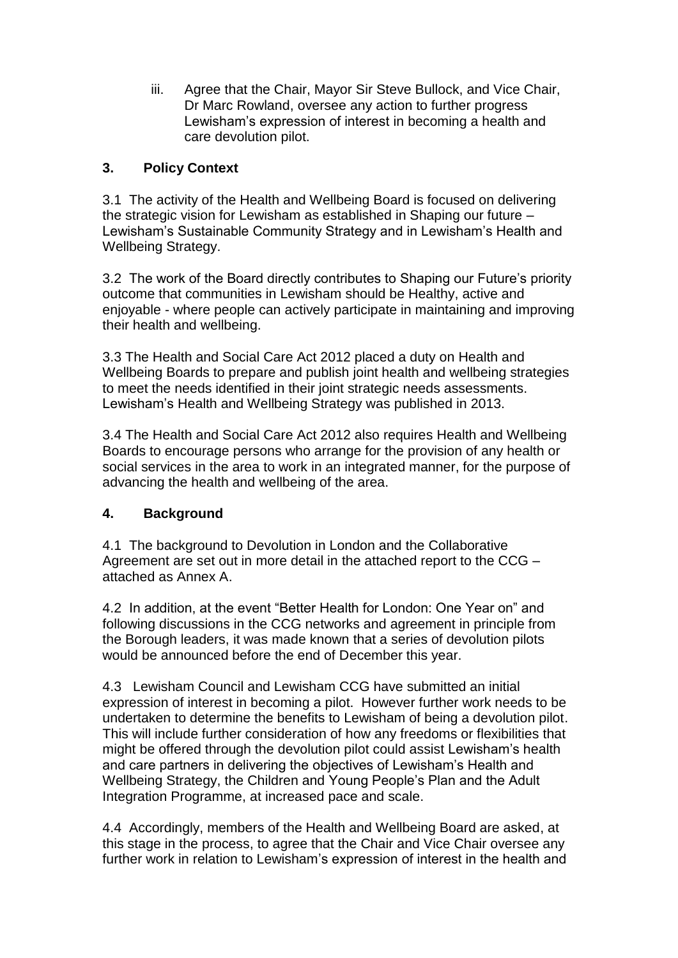iii. Agree that the Chair, Mayor Sir Steve Bullock, and Vice Chair, Dr Marc Rowland, oversee any action to further progress Lewisham's expression of interest in becoming a health and care devolution pilot.

### **3. Policy Context**

3.1 The activity of the Health and Wellbeing Board is focused on delivering the strategic vision for Lewisham as established in Shaping our future – Lewisham's Sustainable Community Strategy and in Lewisham's Health and Wellbeing Strategy.

3.2 The work of the Board directly contributes to Shaping our Future's priority outcome that communities in Lewisham should be Healthy, active and enjoyable - where people can actively participate in maintaining and improving their health and wellbeing.

3.3 The Health and Social Care Act 2012 placed a duty on Health and Wellbeing Boards to prepare and publish joint health and wellbeing strategies to meet the needs identified in their joint strategic needs assessments. Lewisham's Health and Wellbeing Strategy was published in 2013.

3.4 The Health and Social Care Act 2012 also requires Health and Wellbeing Boards to encourage persons who arrange for the provision of any health or social services in the area to work in an integrated manner, for the purpose of advancing the health and wellbeing of the area.

### **4. Background**

4.1 The background to Devolution in London and the Collaborative Agreement are set out in more detail in the attached report to the CCG – attached as Annex A.

4.2 In addition, at the event "Better Health for London: One Year on" and following discussions in the CCG networks and agreement in principle from the Borough leaders, it was made known that a series of devolution pilots would be announced before the end of December this year.

4.3 Lewisham Council and Lewisham CCG have submitted an initial expression of interest in becoming a pilot. However further work needs to be undertaken to determine the benefits to Lewisham of being a devolution pilot. This will include further consideration of how any freedoms or flexibilities that might be offered through the devolution pilot could assist Lewisham's health and care partners in delivering the objectives of Lewisham's Health and Wellbeing Strategy, the Children and Young People's Plan and the Adult Integration Programme, at increased pace and scale.

4.4 Accordingly, members of the Health and Wellbeing Board are asked, at this stage in the process, to agree that the Chair and Vice Chair oversee any further work in relation to Lewisham's expression of interest in the health and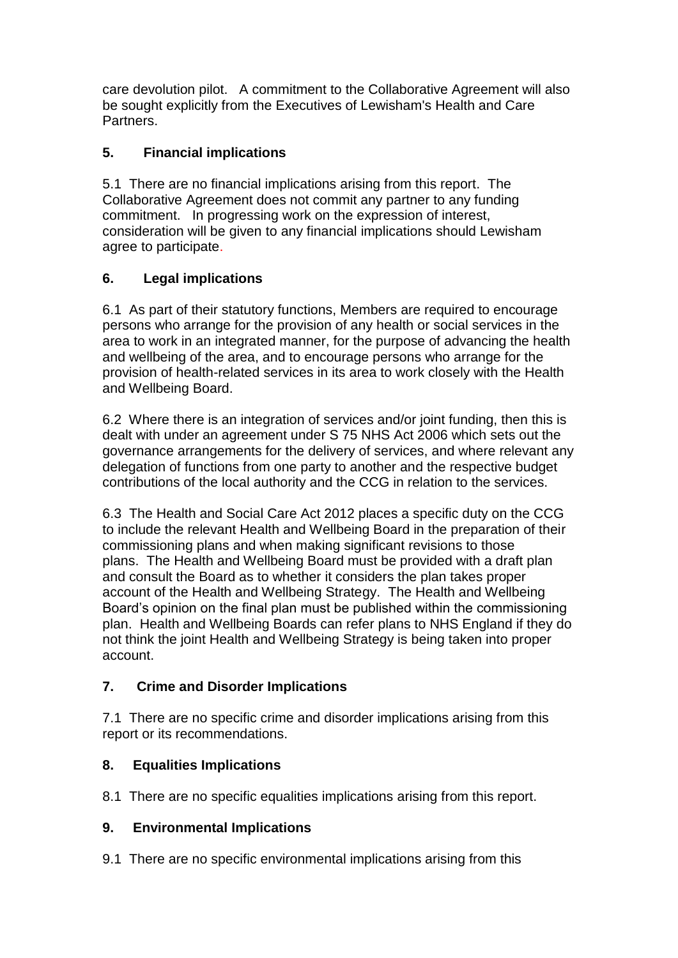care devolution pilot. A commitment to the Collaborative Agreement will also be sought explicitly from the Executives of Lewisham's Health and Care **Partners** 

# **5. Financial implications**

5.1 There are no financial implications arising from this report. The Collaborative Agreement does not commit any partner to any funding commitment. In progressing work on the expression of interest, consideration will be given to any financial implications should Lewisham agree to participate.

## **6. Legal implications**

6.1 As part of their statutory functions, Members are required to encourage persons who arrange for the provision of any health or social services in the area to work in an integrated manner, for the purpose of advancing the health and wellbeing of the area, and to encourage persons who arrange for the provision of health-related services in its area to work closely with the Health and Wellbeing Board.

6.2 Where there is an integration of services and/or joint funding, then this is dealt with under an agreement under S 75 NHS Act 2006 which sets out the governance arrangements for the delivery of services, and where relevant any delegation of functions from one party to another and the respective budget contributions of the local authority and the CCG in relation to the services.

6.3 The Health and Social Care Act 2012 places a specific duty on the CCG to include the relevant Health and Wellbeing Board in the preparation of their commissioning plans and when making significant revisions to those plans. The Health and Wellbeing Board must be provided with a draft plan and consult the Board as to whether it considers the plan takes proper account of the Health and Wellbeing Strategy. The Health and Wellbeing Board's opinion on the final plan must be published within the commissioning plan. Health and Wellbeing Boards can refer plans to NHS England if they do not think the joint Health and Wellbeing Strategy is being taken into proper account.

# **7. Crime and Disorder Implications**

7.1 There are no specific crime and disorder implications arising from this report or its recommendations.

### **8. Equalities Implications**

8.1 There are no specific equalities implications arising from this report.

### **9. Environmental Implications**

9.1 There are no specific environmental implications arising from this